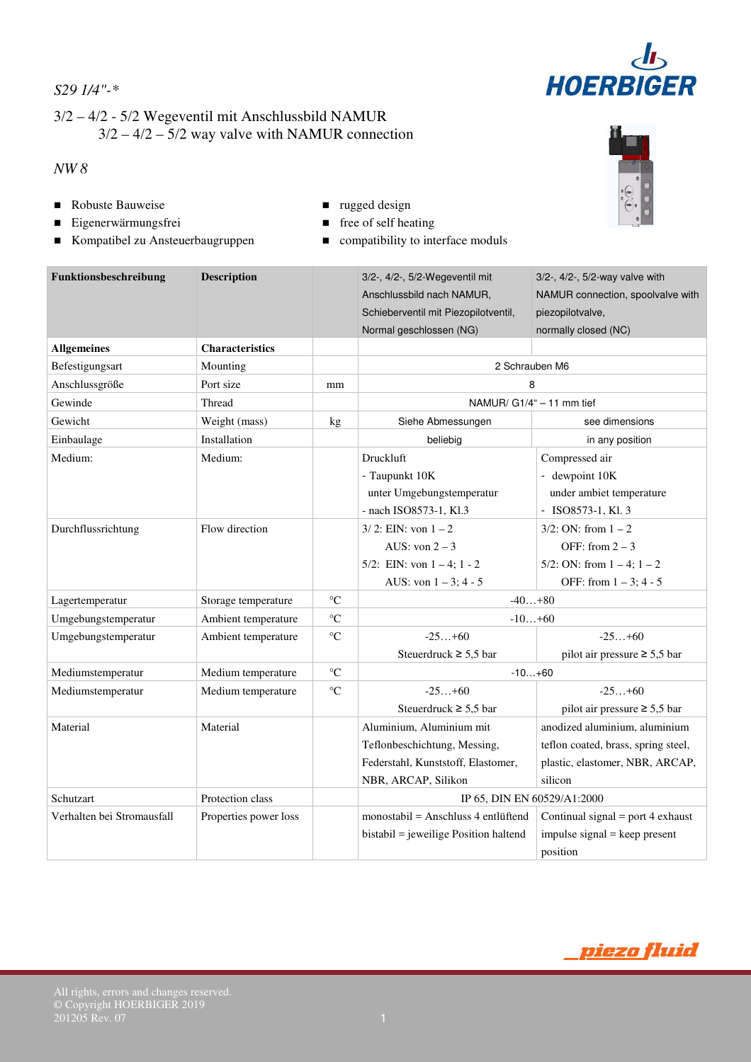# $d_{\mathbf{b}}$ **HOERBIGER**

# *S29 1/4"-\**

# 3/2 – 4/2 - 5/2 Wegeventil mit Anschlussbild NAMUR  $3/2 - 4/2 - 5/2$  way valve with NAMUR connection

## *NW 8*

- Robuste Bauweise **rugged design**
- Eigenerwärmungsfrei **■** free of self heating
- Kompatibel zu Ansteuerbaugruppen compatibility to interface moduls
- 
- -

| Funktionsbeschreibung      | <b>Description</b>     |                   | 3/2-, 4/2-, 5/2-Wegeventil mit<br>3/2-, 4/2-, 5/2-way valve with<br>NAMUR connection, spoolvalve with<br>Anschlussbild nach NAMUR, |                                     |  |  |  |
|----------------------------|------------------------|-------------------|------------------------------------------------------------------------------------------------------------------------------------|-------------------------------------|--|--|--|
|                            |                        |                   | Schieberventil mit Piezopilotventil,                                                                                               | piezopilotvalve,                    |  |  |  |
|                            |                        |                   | Normal geschlossen (NG)                                                                                                            | normally closed (NC)                |  |  |  |
| <b>Allgemeines</b>         | <b>Characteristics</b> |                   |                                                                                                                                    |                                     |  |  |  |
| Befestigungsart            | Mounting               |                   | 2 Schrauben M6                                                                                                                     |                                     |  |  |  |
| Anschlussgröße             | Port size              | mm                | 8                                                                                                                                  |                                     |  |  |  |
| Gewinde                    | Thread                 |                   | NAMUR/ G1/4" - 11 mm tief                                                                                                          |                                     |  |  |  |
| Gewicht                    | Weight (mass)          | kg                | Siehe Abmessungen                                                                                                                  | see dimensions                      |  |  |  |
| Einbaulage                 | Installation           |                   | beliebig                                                                                                                           | in any position                     |  |  |  |
| Medium:                    | Medium:                |                   | <b>Druckluft</b>                                                                                                                   | Compressed air                      |  |  |  |
|                            |                        |                   | - Taupunkt 10K                                                                                                                     | - dewpoint 10K                      |  |  |  |
|                            |                        |                   | unter Umgebungstemperatur                                                                                                          | under ambiet temperature            |  |  |  |
|                            |                        |                   | - nach ISO8573-1, Kl.3                                                                                                             | $-$ ISO8573-1, Kl. 3                |  |  |  |
| Durchflussrichtung         | Flow direction         |                   | $3/2$ : EIN: von $1 - 2$                                                                                                           | $3/2$ : ON: from $1 - 2$            |  |  |  |
|                            |                        |                   | AUS: von $2 - 3$                                                                                                                   | OFF: from $2 - 3$                   |  |  |  |
|                            |                        |                   | 5/2: EIN: von $1 - 4$ ; $1 - 2$                                                                                                    | 5/2: ON: from $1 - 4$ ; $1 - 2$     |  |  |  |
|                            |                        |                   | AUS: von $1 - 3$ ; 4 - 5                                                                                                           | OFF: from $1 - 3$ ; 4 - 5           |  |  |  |
| Lagertemperatur            | Storage temperature    | $\rm ^{\circ}C$   | $-40+80$                                                                                                                           |                                     |  |  |  |
| Umgebungstemperatur        | Ambient temperature    | $\rm ^{\circ}C$   | $-10+60$                                                                                                                           |                                     |  |  |  |
| Umgebungstemperatur        | Ambient temperature    | $^{\circ}{\rm C}$ | $-25+60$                                                                                                                           | $-25+60$                            |  |  |  |
|                            |                        |                   | Steuerdruck $\geq 5.5$ bar                                                                                                         | pilot air pressure $\geq 5.5$ bar   |  |  |  |
| Mediumstemperatur          | Medium temperature     | $\rm ^{\circ}C$   | $-10+60$                                                                                                                           |                                     |  |  |  |
| Mediumstemperatur          | Medium temperature     | $\rm ^{\circ}C$   | $-25+60$                                                                                                                           | $-25+60$                            |  |  |  |
|                            |                        |                   | Steuerdruck $\geq 5.5$ bar                                                                                                         | pilot air pressure $\geq 5.5$ bar   |  |  |  |
| Material                   | Material               |                   | Aluminium, Aluminium mit                                                                                                           | anodized aluminium, aluminium       |  |  |  |
|                            |                        |                   | Teflonbeschichtung, Messing,                                                                                                       | teflon coated, brass, spring steel, |  |  |  |
|                            |                        |                   | Federstahl, Kunststoff, Elastomer,                                                                                                 | plastic, elastomer, NBR, ARCAP,     |  |  |  |
|                            |                        |                   | NBR, ARCAP, Silikon                                                                                                                | silicon                             |  |  |  |
| Schutzart                  | Protection class       |                   | IP 65, DIN EN 60529/A1:2000                                                                                                        |                                     |  |  |  |
| Verhalten bei Stromausfall | Properties power loss  |                   | $monostabil = Anschluss 4$ entlüftend                                                                                              | Continual signal = port 4 exhaust   |  |  |  |
|                            |                        |                   | bistabil = jeweilige Position haltend                                                                                              | impulse signal = keep present       |  |  |  |
|                            |                        |                   |                                                                                                                                    | position                            |  |  |  |



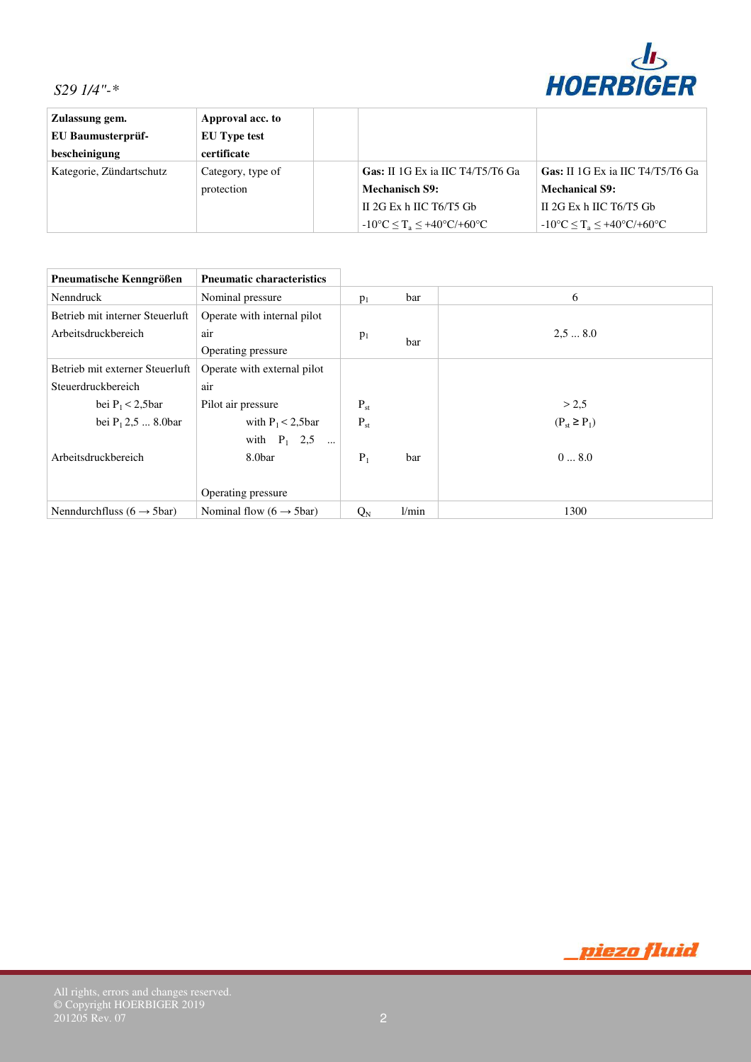

| Zulassung gem.           | Approval acc. to    |                                                        |                                                        |
|--------------------------|---------------------|--------------------------------------------------------|--------------------------------------------------------|
| EU Baumusterprüf-        | <b>EU</b> Type test |                                                        |                                                        |
| bescheinigung            | certificate         |                                                        |                                                        |
| Kategorie, Zündartschutz | Category, type of   | Gas: II 1G Ex ia IIC T4/T5/T6 Ga                       | Gas: II 1G Ex ia IIC T4/T5/T6 Ga                       |
|                          | protection          | <b>Mechanisch S9:</b>                                  | <b>Mechanical S9:</b>                                  |
|                          |                     | II 2G Ex h IIC $T6/T5$ Gb                              | II 2G Ex h IIC $T6/T5$ Gb                              |
|                          |                     | $-10^{\circ}C \leq T_a \leq +40^{\circ}C/+60^{\circ}C$ | $-10^{\circ}C \leq T_a \leq +40^{\circ}C/+60^{\circ}C$ |

| Pneumatische Kenngrößen                 | <b>Pneumatic characteristics</b>     |          |       |                    |
|-----------------------------------------|--------------------------------------|----------|-------|--------------------|
| Nenndruck                               | Nominal pressure                     | $p_1$    | bar   | 6                  |
| Betrieb mit interner Steuerluft         | Operate with internal pilot          |          |       |                    |
| Arbeitsdruckbereich                     | air                                  | $p_1$    |       | 2.58.0             |
|                                         | Operating pressure                   | bar      |       |                    |
| Betrieb mit externer Steuerluft         | Operate with external pilot          |          |       |                    |
| Steuerdruckbereich                      | air                                  |          |       |                    |
| bei $P_1 < 2,5$ bar                     | Pilot air pressure                   | $P_{st}$ |       | > 2.5              |
| bei $P_1$ 2,5  8.0bar                   | with $P_1 < 2,5$ bar                 | $P_{st}$ |       | $(P_{st} \ge P_1)$ |
|                                         | with $P_1$ 2,5                       |          |       |                    |
| Arbeitsdruckbereich                     | 8.0bar                               | $P_1$    | bar   | 08.0               |
|                                         |                                      |          |       |                    |
|                                         | Operating pressure                   |          |       |                    |
| Nenndurchfluss ( $6 \rightarrow 5$ bar) | Nominal flow $(6 \rightarrow 5$ bar) | $Q_N$    | 1/min | 1300               |

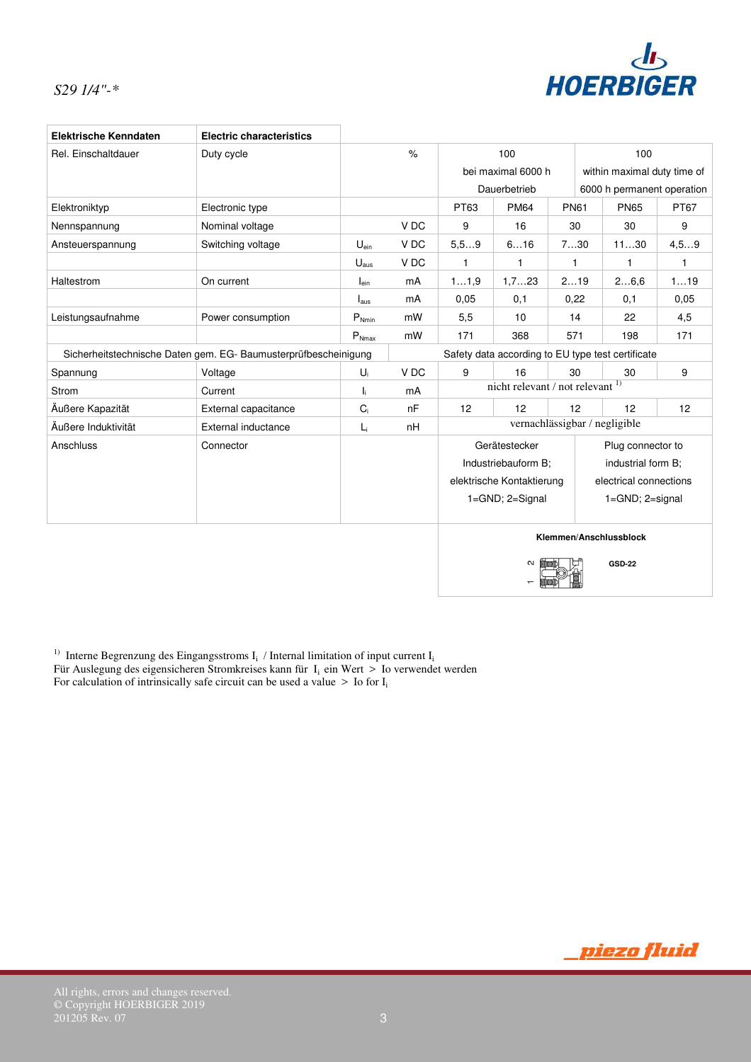

| <b>Elektrische Kenndaten</b>                                    | <b>Electric characteristics</b> |                  |                                     |                                                   |                           |             |    |                             |              |
|-----------------------------------------------------------------|---------------------------------|------------------|-------------------------------------|---------------------------------------------------|---------------------------|-------------|----|-----------------------------|--------------|
| Rel. Einschaltdauer                                             | Duty cycle                      |                  | $\frac{1}{2}$                       | 100<br>100                                        |                           |             |    |                             |              |
|                                                                 |                                 |                  |                                     |                                                   | bei maximal 6000 h        |             |    | within maximal duty time of |              |
|                                                                 |                                 |                  |                                     |                                                   | Dauerbetrieb              |             |    | 6000 h permanent operation  |              |
| Elektroniktyp                                                   | Electronic type                 |                  |                                     | PT63                                              | <b>PM64</b>               | <b>PN61</b> |    | <b>PN65</b>                 | <b>PT67</b>  |
| Nennspannung                                                    | Nominal voltage                 |                  | V DC                                | 9                                                 | 16                        | 30          |    | 30                          | 9            |
| Ansteuerspannung                                                | Switching voltage               | $U_{\text{ein}}$ | V DC                                | 5, 59                                             | 616                       | 730         |    | 1130                        | 4, 59        |
|                                                                 |                                 | $U_{\text{aus}}$ | V DC                                | 1                                                 | 1                         | 1           |    | 1                           | $\mathbf{1}$ |
| Haltestrom                                                      | On current                      | $I_{\text{ein}}$ | mA                                  | 11,9                                              | 1,723                     | 219         |    | 26,6                        | 119          |
|                                                                 |                                 | $I_{\text{aus}}$ | mA                                  | 0,05                                              | 0,1                       | 0,22        |    | 0,1                         | 0.05         |
| Leistungsaufnahme                                               | Power consumption               | $P_{Nmin}$       | mW                                  | 5,5                                               | 10                        | 14          |    | 22                          | 4,5          |
|                                                                 |                                 | $P_{Nmax}$       | mW                                  | 171                                               | 368                       | 571         |    | 198                         | 171          |
| Sicherheitstechnische Daten gem. EG- Baumusterprüfbescheinigung |                                 |                  |                                     | Safety data according to EU type test certificate |                           |             |    |                             |              |
| Spannung                                                        | Voltage                         | $U_i$            | V DC                                | 9                                                 | 16                        | 30          |    | 30                          | 9            |
| Strom                                                           | Current                         | I.               | mA                                  | nicht relevant / not relevant 1)                  |                           |             |    |                             |              |
| Äußere Kapazität                                                | External capacitance            | $C_i$            | nF                                  | 12<br>12<br>12<br>12                              |                           |             | 12 |                             |              |
| Äußere Induktivität                                             | External inductance             | L <sub>i</sub>   | vernachlässigbar / negligible<br>nH |                                                   |                           |             |    |                             |              |
| Anschluss                                                       | Connector                       |                  |                                     | Gerätestecker<br>Plug connector to                |                           |             |    |                             |              |
|                                                                 |                                 |                  |                                     |                                                   | Industriebauform B;       |             |    | industrial form B;          |              |
|                                                                 |                                 |                  |                                     |                                                   | elektrische Kontaktierung |             |    | electrical connections      |              |
|                                                                 |                                 |                  |                                     | 1=GND; 2=Signal<br>1=GND; 2=signal                |                           |             |    |                             |              |
|                                                                 |                                 |                  |                                     |                                                   |                           |             |    |                             |              |
|                                                                 |                                 |                  |                                     |                                                   |                           |             |    | Klemmen/Anschlussblock      |              |
|                                                                 |                                 |                  |                                     |                                                   |                           |             |    |                             |              |
|                                                                 |                                 |                  |                                     |                                                   | $\mathbf{\Omega}$         |             |    | <b>GSD-22</b>               |              |
|                                                                 |                                 |                  |                                     |                                                   |                           |             |    |                             |              |

<sup>1)</sup> Interne Begrenzung des Eingangsstroms  $I_i$  / Internal limitation of input current  $I_i$ 

Für Auslegung des eigensicheren Stromkreises kann für  $I_i$  ein Wert > Io verwendet werden For calculation of intrinsically safe circuit can be used a value  $>$  Io for I<sub>i</sub>

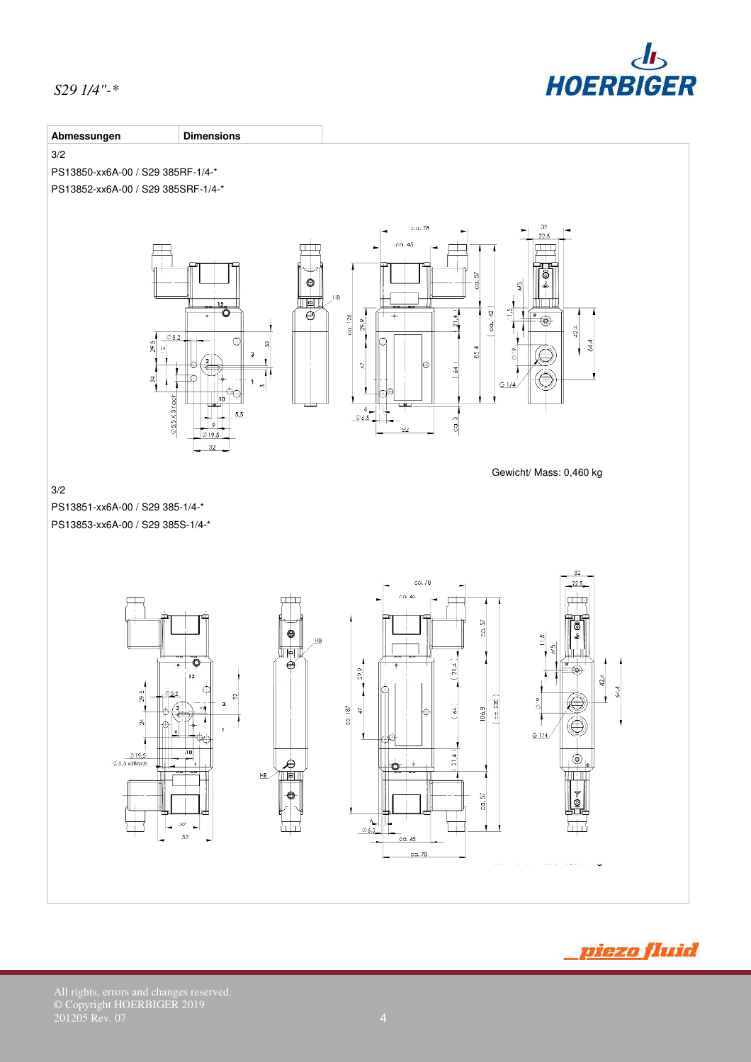





All rights, errors and changes reserved. © Copyright HOERBIGER 2019 201205 Rev. 07 **4**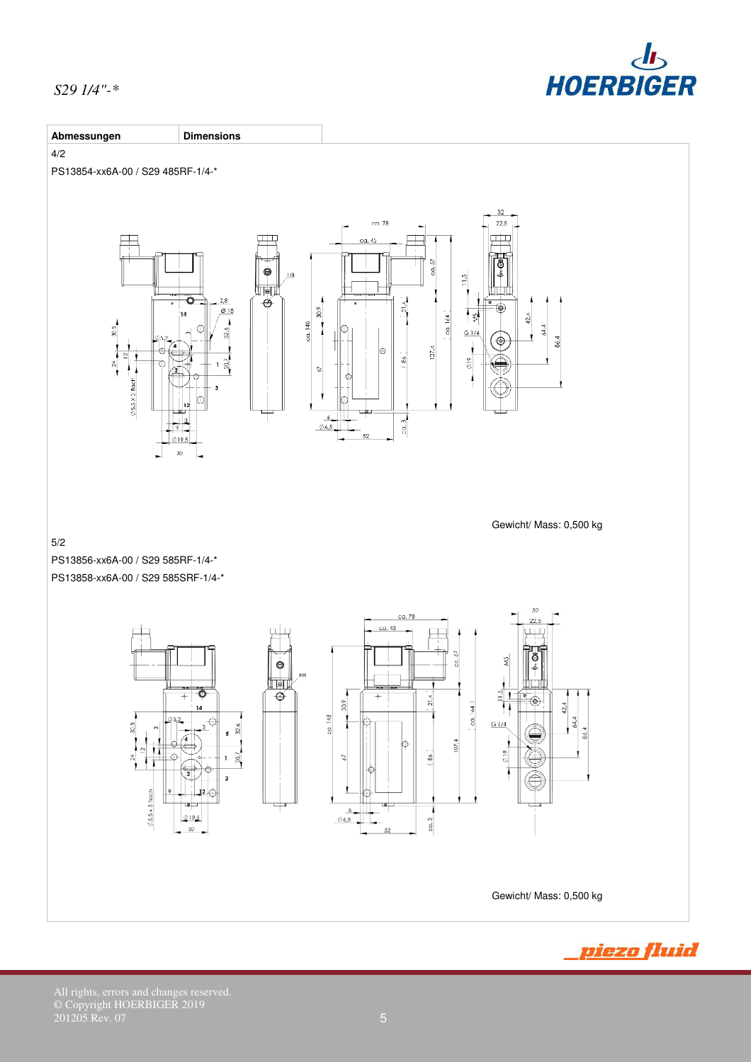

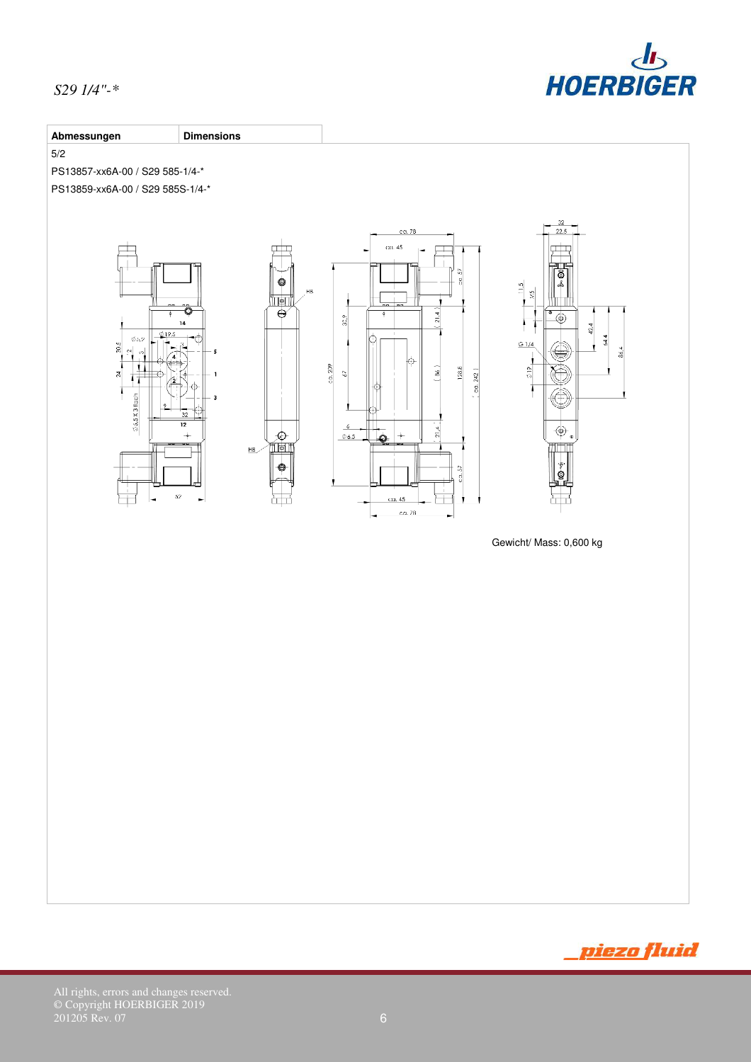



Gewicht/ Mass: 0,600 kg